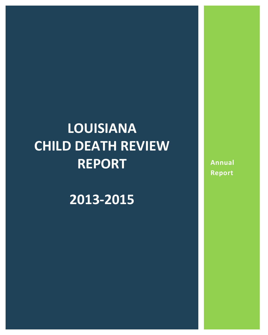# **LOUISIANA CHILD DEATH REVIEW REPORT**

**2013-2015**

**Annual Report**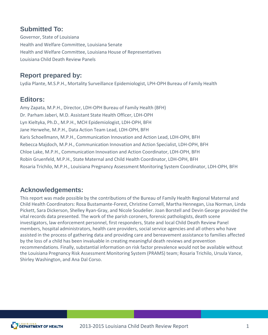### **Submitted To:**

Governor, State of Louisiana Health and Welfare Committee, Louisiana Senate Health and Welfare Committee, Louisiana House of Representatives Louisiana Child Death Review Panels

### **Report prepared by:**

Lydia Plante, M.S.P.H., Mortality Surveillance Epidemiologist, LPH-OPH Bureau of Family Health

### **Editors:**

Amy Zapata, M.P.H., Director, LDH-OPH Bureau of Family Health (BFH) Dr. Parham Jaberi, M.D. Assistant State Health Officer, LDH-OPH Lyn Kieltyka, Ph.D., M.P.H., MCH Epidemiologist, LDH-OPH, BFH Jane Herwehe, M.P.H., Data Action Team Lead, LDH-OPH, BFH Karis Schoellmann, M.P.H., Communication Innovation and Action Lead, LDH-OPH, BFH Rebecca Majdoch, M.P.H., Communication Innovation and Action Specialist, LDH-OPH, BFH Chloe Lake, M.P.H., Communication Innovation and Action Coordinator, LDH-OPH, BFH Robin Gruenfeld, M.P.H., State Maternal and Child Health Coordinator, LDH-OPH, BFH Rosaria Trichilo, M.P.H., Louisiana Pregnancy Assessment Monitoring System Coordinator, LDH-OPH, BFH

### **Acknowledgements:**

This report was made possible by the contributions of the Bureau of Family Health Regional Maternal and Child Health Coordinators: Rosa Bustamante-Forest, Christine Cornell, Martha Hennegan, Lisa Norman, Linda Pickett, Sara Dickerson, Shelley Ryan-Gray, and Nicole Soudelier. Joan Borstell and Devin George provided the vital records data presented. The work of the parish coroners, forensic pathologists, death scene investigators, law enforcement personnel, first responders, State and local Child Death Review Panel members, hospital administrators, health care providers, social service agencies and all others who have assisted in the process of gathering data and providing care and bereavement assistance to families affected by the loss of a child has been invaluable in creating meaningful death reviews and prevention recommendations. Finally, substantial information on risk factor prevalence would not be available without the Louisiana Pregnancy Risk Assessment Monitoring System (PRAMS) team; Rosaria Trichilo, Ursula Vance, Shirley Washington, and Ana Dal Corso.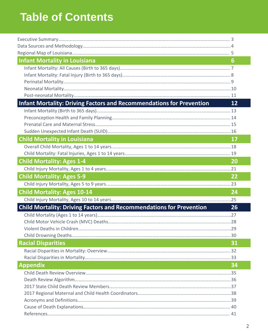# **Table of Contents**

| <b>Infant Mortality in Louisiana</b>                                                                                                               | 6             |
|----------------------------------------------------------------------------------------------------------------------------------------------------|---------------|
|                                                                                                                                                    |               |
|                                                                                                                                                    |               |
|                                                                                                                                                    |               |
|                                                                                                                                                    |               |
|                                                                                                                                                    |               |
| <b>Infant Mortality: Driving Factors and Recommendations for Prevention</b>                                                                        | 12            |
|                                                                                                                                                    |               |
|                                                                                                                                                    |               |
|                                                                                                                                                    |               |
|                                                                                                                                                    |               |
| <b>Child Mortality in Louisiana</b>                                                                                                                | $\mathbf{17}$ |
|                                                                                                                                                    |               |
|                                                                                                                                                    |               |
| <b>Child Mortality: Ages 1-4</b>                                                                                                                   | <b>20</b>     |
|                                                                                                                                                    |               |
| <b>Child Mortality: Ages 5-9</b>                                                                                                                   | 22            |
|                                                                                                                                                    |               |
| <b>Child Mortality: Ages 10-14</b>                                                                                                                 | 24            |
|                                                                                                                                                    |               |
| <b>Child Mortality: Driving Factors and Recommendations for Prevention</b>                                                                         | 26            |
|                                                                                                                                                    |               |
|                                                                                                                                                    |               |
|                                                                                                                                                    |               |
|                                                                                                                                                    |               |
| <b>Racial Disparities</b>                                                                                                                          | 31            |
|                                                                                                                                                    |               |
|                                                                                                                                                    |               |
| <b>Appendix</b><br>$\mathcal{L}^{\text{max}}_{\text{max}}$ and $\mathcal{L}^{\text{max}}_{\text{max}}$ and $\mathcal{L}^{\text{max}}_{\text{max}}$ | 34            |
|                                                                                                                                                    |               |
|                                                                                                                                                    |               |
|                                                                                                                                                    |               |
|                                                                                                                                                    |               |
|                                                                                                                                                    |               |
|                                                                                                                                                    |               |
|                                                                                                                                                    |               |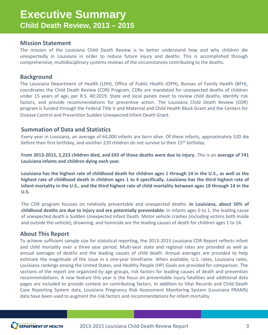### **Executive Summary Child Death Review, 2013 – 2015**

### **Mission Statement**

The mission of the Louisiana Child Death Review is to better understand how and why children die unexpectedly in Louisiana in order to reduce future injury and deaths. This is accomplished through comprehensive, multidisciplinary systems reviews of the circumstances contributing to the deaths.

### **Background**

The Louisiana Department of Health (LDH), Office of Public Health (OPH), Bureau of Family Health (BFH), coordinates the Child Death Review (CDR) Program. CDRs are mandated for unexpected deaths of children under 15 years of age, per R.S. 40:2019. State and local panels meet to review child deaths, identify risk factors, and provide recommendations for preventive action. The Louisiana Child Death Review (CDR) program is funded through the Federal Title V and Maternal and Child Health Block Grant and the Centers for Disease Control and Prevention Sudden Unexpected Infant Death Grant.

### **Summation of Data and Statistics**

Every year in Louisiana, an average of 64,000 infants are born alive. Of these infants, approximately 520 die before their first birthday, and another 220 children do not survive to their 15<sup>th</sup> birthday.

From 2013-2015, 2,223 children died, and 693 of those deaths were due to injury. This is an average of 741 **Louisiana infants and children dying each year**.

Louisiana has the highest rate of childhood death for children ages 1 through 14 in the U.S., as well as the highest rate of childhood death in children ages 1 to 4 specifically. Louisiana has the third highest rate of infant mortality in the U.S., and the third highest rate of child mortality between ages 10 through 14 in the **U.S.**

The CDR program focuses on relatively preventable and unexpected deaths. **In Louisiana, about 50% of childhood deaths are due to injury and are potentially preventable.** In infants ages 0 to 1, the leading cause of unexpected death is Sudden Unexpected Infant Death. Motor vehicle crashes (including victims both inside and outside the vehicle), drowning, and homicide are the leading causes of death for children ages 1 to 14.

### **About This Report**

To achieve sufficient sample size for statistical reporting, the 2013-2015 Louisiana CDR Report reflects infant and child mortality over a three year period. Multi-year state and regional rates are provided as well as annual averages of deaths and the leading causes of child death. Annual averages are provided to help estimate the magnitude of the issue in a one-year timeframe. When available, U.S. rates, Louisiana rates, Louisiana rankings among the United States, and Healthy People (HP) Goals are provided for comparison. The sections of the report are organized by age groups, risk factors for leading causes of death and prevention recommendations. A new feature this year is the focus on preventable injury fatalities and additional data pages are included to provide context on contributing factors. In addition to Vital Records and Child Death Case Reporting System data, Louisiana Pregnancy Risk Assessment Monitoring System (Louisiana PRAMS) data have been used to augment the risk factors and recommendations for infant mortality.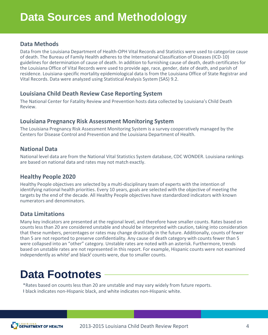### **Data Methods**

Data from the Louisiana Department of Health-OPH Vital Records and Statistics were used to categorize cause of death. The Bureau of Family Health adheres to the International Classification of Diseases (ICD-10) guidelines for determination of cause of death. In addition to furnishing cause of death, death certificates for the Louisiana Office of Vital Records were used to provide age, race, gender, date of death, and parish of residence. Louisiana-specific mortality epidemiological data is from the Louisiana Office of State Registrar and Vital Records. Data were analyzed using Statistical Analysis System (SAS) 9.2.

### **Louisiana Child Death Review Case Reporting System**

The National Center for Fatality Review and Prevention hosts data collected by Louisiana's Child Death Review.

### **Louisiana Pregnancy Risk Assessment Monitoring System**

The Louisiana Pregnancy Risk Assessment Monitoring System is a survey cooperatively managed by the Centers for Disease Control and Prevention and the Louisiana Department of Health.

### **National Data**

National level data are from the National Vital Statistics System database, CDC WONDER. Louisiana rankings are based on national data and rates may not match exactly.

### **Healthy People 2020**

Healthy People objectives are selected by a multi-disciplinary team of experts with the intention of identifying national health priorities. Every 10 years, goals are selected with the objective of meeting the targets by the end of the decade. All Healthy People objectives have standardized indicators with known numerators and denominators.

### **Data Limitations**

Many key indicators are presented at the regional level, and therefore have smaller counts. Rates based on counts less than 20 are considered unstable and should be interpreted with caution, taking into consideration that these numbers, percentages or rates may change drastically in the future. Additionally, counts of fewer than 5 are not reported to preserve confidentiality. Any cause of death category with counts fewer than 5 were collapsed into an "other" category. Unstable rates are noted with an asterisk. Furthermore, trends based on unstable rates are not represented in this report. For example, Hispanic counts were not examined independently as white<sup> $\dagger$ </sup> and black $\dagger$  counts were, due to smaller counts.

# **Data Footnotes**

\*Rates based on counts less than 20 are unstable and may vary widely from future reports.

ƚ black indicates non-Hispanic black, and white indicates non-Hispanic white.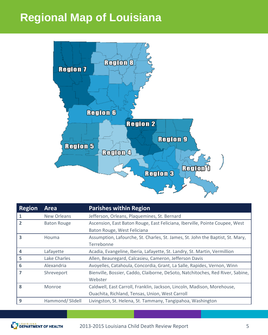# **Regional Map of Louisiana**



| <b>Region</b>  | <b>Area</b>        | <b>Parishes within Region</b>                                                  |
|----------------|--------------------|--------------------------------------------------------------------------------|
| 1              | New Orleans        | Jefferson, Orleans, Plaquemines, St. Bernard                                   |
| $\overline{2}$ | <b>Baton Rouge</b> | Ascension, East Baton Rouge, East Feliciana, Iberville, Pointe Coupee, West    |
|                |                    | Baton Rouge, West Feliciana                                                    |
| 3              | Houma              | Assumption, Lafourche, St. Charles, St. James, St. John the Baptist, St. Mary, |
|                |                    | Terrebonne                                                                     |
|                | Lafayette          | Acadia, Evangeline, Iberia, Lafayette, St. Landry, St. Martin, Vermillion      |
| 5              | Lake Charles       | Allen, Beauregard, Calcasieu, Cameron, Jefferson Davis                         |
| 6              | Alexandria         | Avoyelles, Catahoula, Concordia, Grant, La Salle, Rapides, Vernon, Winn        |
| $\overline{7}$ | Shreveport         | Bienville, Bossier, Caddo, Claiborne, DeSoto, Natchitoches, Red River, Sabine, |
|                |                    | Webster                                                                        |
| 8              | Monroe             | Caldwell, East Carroll, Franklin, Jackson, Lincoln, Madison, Morehouse,        |
|                |                    | Ouachita, Richland, Tensas, Union, West Carroll                                |
| 9              | Hammond/Slidell    | Livingston, St. Helena, St. Tammany, Tangipahoa, Washington                    |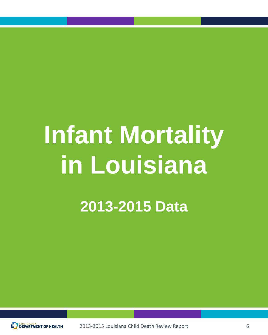# **Infant Mortality in Louisiana**

**2013-2015 Data**

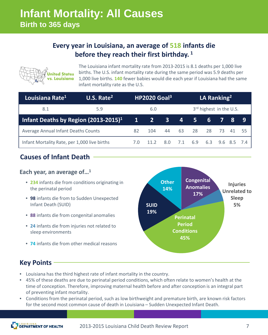### **Every year in Louisiana, an average of 518 infants die before they reach their first birthday. <sup>1</sup>**



The Louisiana infant mortality rate from 2013-2015 is 8.1 deaths per 1,000 live births. The U.S. infant mortality rate during the same period was 5.9 deaths per 1,000 live births. **140** fewer babies would die each year if Louisiana had the same infant mortality rate as the U.S.

| U.S. Rate $2$<br>Louisiana Rate <sup>1</sup>     |     | HP2020 Goal <sup>3</sup> |      |                         | LA Ranking <sup>2</sup> |                |    |                 |     |    |
|--------------------------------------------------|-----|--------------------------|------|-------------------------|-------------------------|----------------|----|-----------------|-----|----|
| 8.1                                              | 5.9 | 6.0                      |      | 3rd highest in the U.S. |                         |                |    |                 |     |    |
| Infant Deaths by Region (2013-2015) <sup>1</sup> |     | $\mathbf{1}$             | 427  | $\overline{3}$          | $\overline{4}$          | $\mathsf{S}^1$ | 6  |                 | - 8 | 9  |
| Average Annual Infant Deaths Counts              |     | 82                       | 104  | 44                      | 63                      | 28             | 28 | - 73            | 41  | 55 |
| Infant Mortality Rate, per 1,000 live births     |     | 7.0                      | 11.2 | 8.0                     | 7.1                     | 6.9            |    | 6.3 9.6 8.5 7.4 |     |    |

### **Causes of Infant Death**

### **Each year, an average of…1**

- **234** infants die from conditions originating in the perinatal period
- **98** infants die from to Sudden Unexpected Infant Death (SUID)
- **88** infants die from congenital anomalies
- **24** infants die from injuries not related to sleep environments
- **74** infants die from other medical reasons



### **Key Points**

- Louisiana has the third highest rate of infant mortality in the country.
- 45% of these deaths are due to perinatal period conditions, which often relate to women's health at the time of conception. Therefore, improving maternal health before and after conception is an integral part of preventing infant mortality.
- Conditions from the perinatal period, such as low birthweight and premature birth, are known risk factors for the second most common cause of death in Louisiana – Sudden Unexpected Infant Death.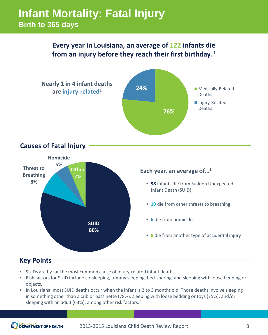### **Infant Mortality: Fatal Injury Birth to 365 days**

### **Every year in Louisiana, an average of 122 infants die from an injury before they reach their first birthday.** <sup>1</sup>



- SUIDs are by far the most common cause of injury-related infant deaths.
- Risk factors for SUID include co-sleeping, tummy sleeping, bed-sharing, and sleeping with loose bedding or objects.
- In Louisiana, most SUID deaths occur when the infant is 2 to 3 months old. Those deaths involve sleeping in something other than a crib or bassinette (78%), sleeping with loose bedding or toys (75%), and/or sleeping with an adult (63%), among other risk factors. <sup>4</sup>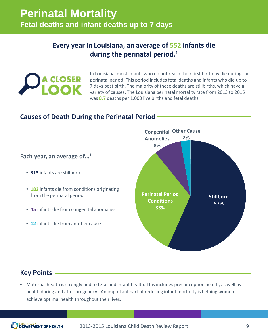### **Every year in Louisiana, an average of 552 infants die during the perinatal period.**<sup>1</sup>



In Louisiana, most infants who do not reach their first birthday die during the perinatal period. This period includes fetal deaths and infants who die up to 7 days post birth. The majority of these deaths are stillbirths, which have a variety of causes. The Louisiana perinatal mortality rate from 2013 to 2015 was **8.7** deaths per 1,000 live births and fetal deaths.

### **Causes of Death During the Perinatal Period**

### **Each year, an average of…1**

- **313** infants are stillborn
- **182** infants die from conditions originating from the perinatal period
- **45** infants die from congenital anomalies
- **12** infants die from another cause



### **Key Points**

• Maternal health is strongly tied to fetal and infant health. This includes preconception health, as well as health during and after pregnancy. An important part of reducing infant mortality is helping women achieve optimal health throughout their lives.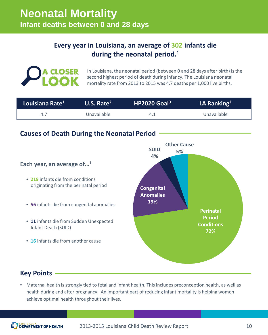### **Every year in Louisiana, an average of 302 infants die during the neonatal period.**<sup>1</sup>



In Louisiana, the neonatal period (between 0 and 28 days after birth) is the second highest period of death during infancy. The Louisiana neonatal mortality rate from 2013 to 2015 was 4.7 deaths per 1,000 live births.

| Louisiana Rate <sup>1</sup> | U.S. Rate $2$ | $HP2020$ Goal <sup>3</sup> | LA Ranking <sup>2</sup> |
|-----------------------------|---------------|----------------------------|-------------------------|
|                             | Unavailable   |                            | Unavailable             |

### **Causes of Death During the Neonatal Period**



### **Key Points**

• Maternal health is strongly tied to fetal and infant health. This includes preconception health, as well as health during and after pregnancy. An important part of reducing infant mortality is helping women achieve optimal health throughout their lives.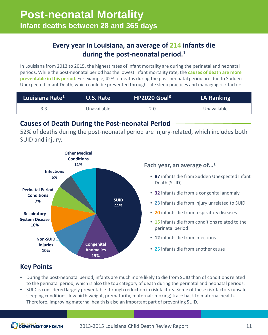### **Every year in Louisiana, an average of 214 infants die during the post-neonatal period.**<sup>1</sup>

In Louisiana from 2013 to 2015, the highest rates of infant mortality are during the perinatal and neonatal periods. While the post-neonatal period has the lowest infant mortality rate, the **causes of death are more preventable in this period**. For example, 42% of deaths during the post-neonatal period are due to Sudden Unexpected Infant Death, which could be prevented through safe sleep practices and managing risk factors.

| Louisiana Rate <sup>1</sup> | <b>U.S. Rate</b> | $HP2020$ Goal <sup>3</sup> | <b>LA Ranking</b> |
|-----------------------------|------------------|----------------------------|-------------------|
| 3.3                         | Unavailable      | 2.0                        | Unavailable       |

### **Causes of Death During the Post-neonatal Period**

52% of deaths during the post-neonatal period are injury-related, which includes both SUID and injury.



### **Key Points**

- During the post-neonatal period, infants are much more likely to die from SUID than of conditions related to the perinatal period, which is also the top category of death during the perinatal and neonatal periods.
- SUID is considered largely preventable through reduction in risk factors. Some of these risk factors (unsafe sleeping conditions, low birth weight, prematurity, maternal smoking) trace back to maternal health. Therefore, improving maternal health is also an important part of preventing SUID.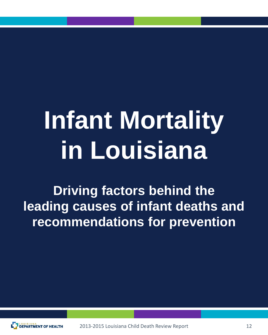# **Infant Mortality in Louisiana**

**Driving factors behind the leading causes of infant deaths and recommendations for prevention**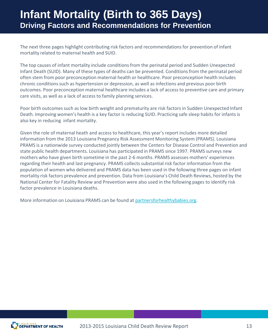### **Infant Mortality (Birth to 365 Days) Driving Factors and Recommendations for Prevention**

The next three pages highlight contributing risk factors and recommendations for prevention of infant mortality related to maternal health and SUID.

The top causes of infant mortality include conditions from the perinatal period and Sudden Unexpected Infant Death (SUID). Many of these types of deaths can be prevented. Conditions from the perinatal period often stem from poor preconception maternal health or healthcare. Poor preconception health includes chronic conditions such as hypertension or depression, as well as infections and previous poor birth outcomes. Poor preconception maternal healthcare includes a lack of access to preventive care and primary care visits, as well as a lack of access to family planning services.

Poor birth outcomes such as low birth weight and prematurity are risk factors in Sudden Unexpected Infant Death. Improving women's health is a key factor is reducing SUID. Practicing safe sleep habits for infants is also key in reducing infant mortality.

Given the role of maternal heath and access to healthcare, this year's report includes more detailed information from the 2013 Louisiana Pregnancy Risk Assessment Monitoring System (PRAMS). Louisiana PRAMS is a nationwide survey conducted jointly between the Centers for Disease Control and Prevention and state public health departments. Louisiana has participated in PRAMS since 1997. PRAMS surveys new mothers who have given birth sometime in the past 2-6 months. PRAMS assesses mothers' experiences regarding their health and last pregnancy. PRAMS collects substantial risk factor information from the population of women who delivered and PRAMS data has been used in the following three pages on infant mortality risk factors prevalence and prevention. Data from Louisiana's Child Death Reviews, hosted by the National Center for Fatality Review and Prevention were also used in the following pages to identify risk factor prevalence in Louisiana deaths.

More information on Louisiana PRAMS can be found at partnersforhealthybabies.org.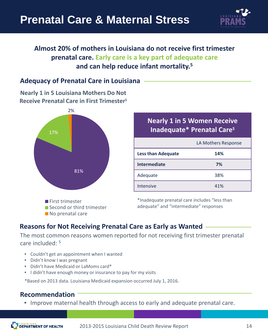

### **Almost 20% of mothers in Louisiana do not receive first trimester prenatal care. Early care is a key part of adequate care and can help reduce infant mortality.5**

### **Adequacy of Prenatal Care in Louisiana**

**Nearly 1 in 5 Louisiana Mothers Do Not Receive Prenatal Care in First Trimester5**



### **Nearly 1 in 5 Women Receive Inadequate\* Prenatal Care5**

|                           | LA Mothers Response |
|---------------------------|---------------------|
| <b>Less than Adequate</b> | 14%                 |
| <b>Intermediate</b>       | 7%                  |
| Adequate                  | 38%                 |
| Intensive                 | 41%                 |

\*Inadequate prenatal care includes "less than adequate" and "intermediate" responses

### **Reasons for Not Receiving Prenatal Care as Early as Wanted**

The most common reasons women reported for not receiving first trimester prenatal care included: 5

- Couldn't get an appointment when I wanted
- Didn't know I was pregnant
- Didn't have Medicaid or LaMoms card\*
- I didn't have enough money or insurance to pay for my visits

\*Based on 2013 data. Louisiana Medicaid expansion occurred July 1, 2016.

### **Recommendation**

• Improve maternal health through access to early and adequate prenatal care.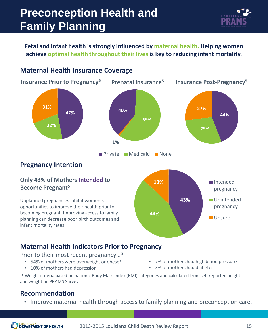# **Preconception Health and Family Planning**



**Fetal and infant health is strongly influenced by maternal health. Helping women achieve optimal health throughout their lives is key to reducing infant mortality.**



**Maternal Health Indicators Prior to Pregnancy**

Prior to their most recent pregnancy…5

- 54% of mothers were overweight or obese\*
- 10% of mothers had depression
- 7% of mothers had high blood pressure
- 3% of mothers had diabetes

\* Weight criteria based on national Body Mass Index (BMI) categories and calculated from self reported height and weight on PRAMS Survey

### **Recommendation**

infant mortality rates.

• Improve maternal health through access to family planning and preconception care.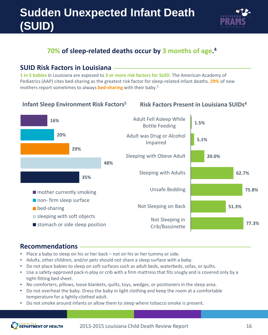# **Sudden Unexpected Infant Death (SUID)**



### **70% of sleep-related deaths occur by 3 months of age. 4**

### **SUID Risk Factors in Louisiana**

**1 in 5 babies** in Louisiana are exposed to **3 or more risk factors for SUID**. The American Academy of Pediatrics (AAP) cites bed-sharing as the greatest risk factor for sleep-related infant deaths. **29%** of new mothers report sometimes to always **bed-sharing** with their baby.5

### **Infant Sleep Environment Risk Factors5**

### **Risk Factors Present in Louisiana SUIDs4**



- Place a baby to sleep on his or her back not on his or her tummy or side.
- Adults, other children, and/or pets should not share a sleep surface with a baby.
- Do not place babies to sleep on soft surfaces such as adult beds, waterbeds, sofas, or quilts.
- Use a safety-approved pack-n-play or crib with a firm mattress that fits snugly and is covered only by a tight-fitting bed sheet.
- No comforters, pillows, loose blankets, quilts, toys, wedges, or positioners in the sleep area.
- Do not overheat the baby. Dress the baby in light clothing and keep the room at a comfortable temperature for a lightly-clothed adult.
- Do not smoke around infants or allow them to sleep where tobacco smoke is present.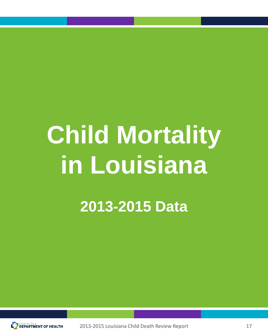# **Child Mortality in Louisiana**

**2013-2015 Data**

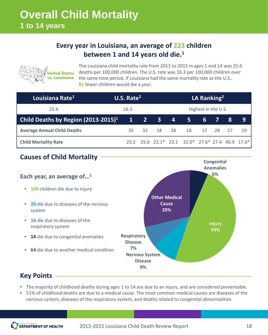### **Every year in Louisiana, an average of 223 children between 1 and 14 years old die.1**



The Louisiana child mortality rate from 2013 to 2015 in ages 1 and 14 was 25.6 deaths per 100,000 children. The U.S. rate was 16.3 per 100,000 children over the same time period. If Louisiana had the same mortality rate as the U.S., **81** fewer children would die a year.

| Louisiana Rate <sup>1</sup>                                      | U.S. Rate $2$ |  |             | LA Ranking <sup>2</sup> |                                                  |       |  |      |    |
|------------------------------------------------------------------|---------------|--|-------------|-------------------------|--------------------------------------------------|-------|--|------|----|
| 25.6                                                             | 16.3          |  |             | Highest in the U.S.     |                                                  |       |  |      |    |
| <b>Child Deaths by Region <math>(2013-2015)^1</math> 1 2 3 4</b> |               |  |             |                         | 5                                                | 67    |  | 8    | 9  |
| <b>Average Annual Child Deaths</b>                               | 35            |  | 32 18 28 18 |                         |                                                  | 17 28 |  | - 27 | 19 |
| <b>Child Mortality Rate</b>                                      |               |  |             |                         | 23.2 25.6 23.1* 23.1 32.0* 27.6* 27.4 40.9 17.6* |       |  |      |    |

### **Causes of Child Mortality**

#### **Each year, an average of…1** • **109** children die due to injury • **20** die due to diseases of the nervous system • **16** die due to diseases of the respiratory system • **14** die due to congenital anomalies • **64** die due to another medical condition **Anomalies 6% Injury 49% Nervous System Disease 9% Respiratory Disease 7% Other Medical Cause 29%**

### **Key Points**

- The majority of childhood deaths during ages 1 to 14 are due to an injury, and are considered preventable.
- 51% of childhood deaths are due to a medical cause. The most common medical causes are diseases of the nervous system, diseases of the respiratory system, and deaths related to congenital abnormalities.

**Congenital**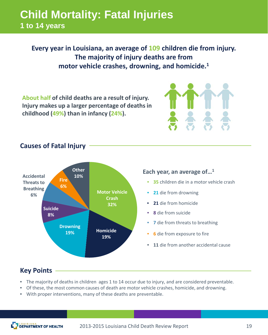### **Child Mortality: Fatal Injuries 1 to 14 years**

**Every year in Louisiana, an average of 109 children die from injury. The majority of injury deaths are from motor vehicle crashes, drowning, and homicide. 1**

**About half of child deaths are a result of injury. Injury makes up a larger percentage of deaths in childhood (49%) than in infancy (24%).**

### **Causes of Fatal Injury**



### **Key Points**

- The majority of deaths in children ages 1 to 14 occur due to injury, and are considered preventable.
- Of these, the most common causes of death are motor vehicle crashes, homicide, and drowning.
- With proper interventions, many of these deaths are preventable.

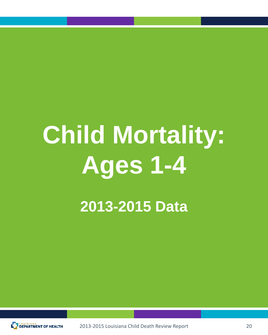# **Child Mortality: Ages 1-4**

**2013-2015 Data**

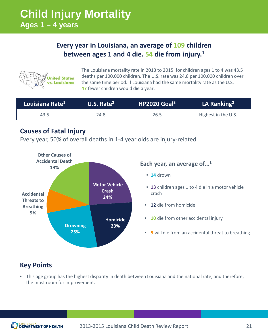### **Every year in Louisiana, an average of 109 children between ages 1 and 4 die. 54 die from injury.1**



The Louisiana mortality rate in 2013 to 2015 for children ages 1 to 4 was 43.5 deaths per 100,000 children. The U.S. rate was 24.8 per 100,000 children over the same time period. If Louisiana had the same mortality rate as the U.S. **47** fewer children would die a year.

| Louisiana Rate <sup>1</sup> | U.S. Rate $2$ | $HP2020$ Goal <sup>3</sup> | LA Ranking <sup>2</sup> |
|-----------------------------|---------------|----------------------------|-------------------------|
| 43.5                        | 24.8          | 26.5                       | Highest in the U.S.     |

### **Causes of Fatal Injury**

Every year, 50% of overall deaths in 1-4 year olds are injury-related



### **Each year, an average of…1**

- **14** drown
- **13** children ages 1 to 4 die in a motor vehicle crash
- **12** die from homicide
- **10** die from other accidental injury
- **5** will die from an accidental threat to breathing

### **Key Points**

• This age group has the highest disparity in death between Louisiana and the national rate, and therefore, the most room for improvement.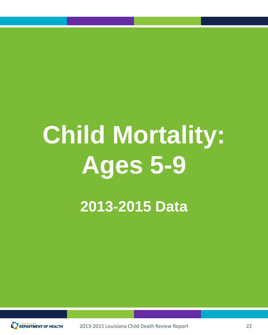# **Child Mortality: Ages 5-9**

**2013-2015 Data**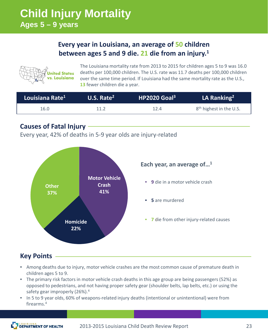### **Child Injury Mortality Ages 5 – 9 years**

### **Every year in Louisiana, an average of 50 children between ages 5 and 9 die. 21 die from an injury.1**



The Louisiana mortality rate from 2013 to 2015 for children ages 5 to 9 was 16.0 deaths per 100,000 children. The U.S. rate was 11.7 deaths per 100,000 children over the same time period. If Louisiana had the same mortality rate as the U.S., **13** fewer children die a year.

| Louisiana Rate <sup>1</sup> | U.S. Rate $2$ | HP2020 Goal <sup>3</sup> | LA Ranking <sup>2</sup>             |
|-----------------------------|---------------|--------------------------|-------------------------------------|
| 16.0                        | 11.2          | 12.4                     | 8 <sup>th</sup> highest in the U.S. |

### **Causes of Fatal Injury**

Every year, 42% of deaths in 5-9 year olds are injury-related



**Key Points**

- Among deaths due to injury, motor vehicle crashes are the most common cause of premature death in children ages 5 to 9.
- The primary risk factors in motor vehicle crash deaths in this age group are being passengers (52%) as opposed to pedestrians, and not having proper safety gear (shoulder belts, lap belts, etc.) or using the safety gear improperly (26%).<sup>4</sup>
- In 5 to 9 year olds, 60% of weapons-related injury deaths (intentional or unintentional) were from firearms.4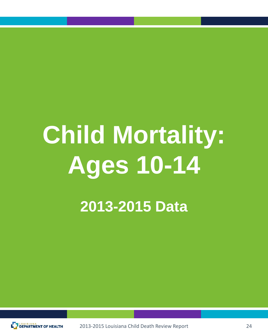# **Child Mortality: Ages 10-14 2013-2015 Data**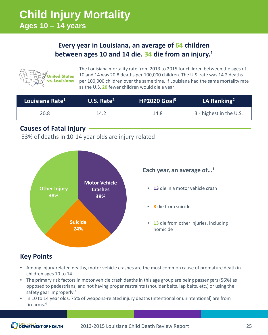### **Every year in Louisiana, an average of 64 children between ages 10 and 14 die. 34 die from an injury.1**



The Louisiana mortality rate from 2013 to 2015 for children between the ages of 10 and 14 was 20.8 deaths per 100,000 children. The U.S. rate was 14.2 deaths per 100,000 children over the same time. If Louisiana had the same mortality rate as the U.S. **20** fewer children would die a year.

| Louisiana Rate <sup>1</sup> | <b>U.S. Rate<sup>2</sup></b> | $HP2020$ Goal <sup>3</sup> | LA Ranking <sup>2</sup>             |
|-----------------------------|------------------------------|----------------------------|-------------------------------------|
| 20.8                        | 14.2                         | 14.8                       | 3 <sup>rd</sup> highest in the U.S. |

### **Causes of Fatal Injury**

53% of deaths in 10-14 year olds are injury-related



### **Key Points**

- Among injury-related deaths, motor vehicle crashes are the most common cause of premature death in children ages 10 to 14.
- The primary risk factors in motor vehicle crash deaths in this age group are being passengers (56%) as opposed to pedestrians, and not having proper restraints (shoulder belts, lap belts, etc.) or using the safety gear improperly.<sup>4</sup>
- In 10 to 14 year olds, 75% of weapons-related injury deaths (intentional or unintentional) are from firearms.4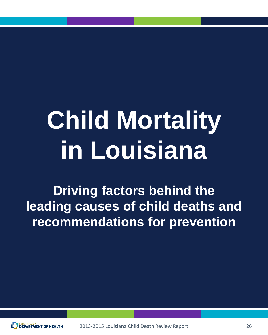# **Child Mortality in Louisiana**

**Driving factors behind the leading causes of child deaths and recommendations for prevention**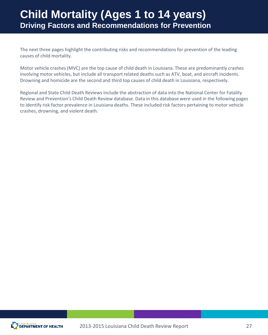### **Child Mortality (Ages 1 to 14 years) Driving Factors and Recommendations for Prevention**

The next three pages highlight the contributing risks and recommendations for prevention of the leading causes of child mortality.

Motor vehicle crashes (MVC) are the top cause of child death in Louisiana. These are predominantly crashes involving motor vehicles, but include all transport related deaths such as ATV, boat, and aircraft incidents. Drowning and homicide are the second and third top causes of child death in Louisiana, respectively.

Regional and State Child Death Reviews include the abstraction of data into the National Center for Fatality Review and Prevention's Child Death Review database. Data in this database were used in the following pages to identify risk factor prevalence in Louisiana deaths. These included risk factors pertaining to motor vehicle crashes, drowning, and violent death.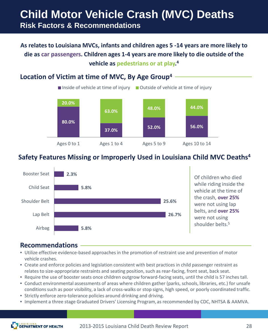### **Child Motor Vehicle Crash (MVC) Deaths Risk Factors & Recommendations**

### **As relates to Louisiana MVCs, infants and children ages 5 -14 years are more likely to die as car passengers. Children ages 1-4 years are more likely to die outside of the vehicle as pedestrians or at play. 4**

### **Location of Victim at time of MVC, By Age Group4**



### **Safety Features Missing or Improperly Used in Louisiana Child MVC Deaths4**



- Utilize effective evidence-based approaches in the promotion of restraint use and prevention of motor vehicle crashes.
- Create and enforce policies and legislation consistent with best practices in child passenger restraint as relates to size-appropriate restraints and seating position, such as rear-facing, front seat, back seat.
- Require the use of booster seats once children outgrow forward-facing seats, until the child is 57 inches tall.
- Conduct environmental assessments of areas where children gather (parks, schools, libraries, etc.) for unsafe conditions such as poor visibility, a lack of cross-walks or stop signs, high speed, or poorly coordinated traffic.
- Strictly enforce zero-tolerance policies around drinking and driving.
- Implement a three stage Graduated Drivers' Licensing Program, as recommended by CDC, NHTSA & AAMVA.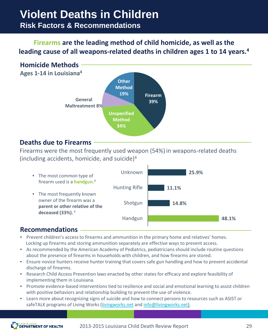## **Violent Deaths in Children**

### **Risk Factors & Recommendations**

### **Firearms are the leading method of child homicide, as well as the leading cause of all weapons-related deaths in children ages 1 to 14 years.4**

### **Homicide Methods**

**Ages 1-14 in Louisiana4**



### **Deaths due to Firearms**

Firearms were the most frequently used weapon (54%) in weapons-related deaths (including accidents, homicide, and suicide)4



- Prevent children's access to firearms and ammunition in the primary home and relatives' homes. Locking up firearms and storing ammunition separately are effective ways to prevent access.
- As recommended by the American Academy of Pediatrics, pediatricians should include routine questions about the presence of firearms in households with children, and how firearms are stored.
- Ensure novice hunters receive hunter training that covers safe gun handling and how to prevent accidental discharge of firearms.
- Research Child Access Prevention laws enacted by other states for efficacy and explore feasibility of implementing them in Louisiana.
- Promote evidence-based interventions tied to resilience and social and emotional learning to assist children with positive behaviors and relationship building to prevent the use of violence.
- Learn more about recognizing signs of suicide and how to connect persons to resources such as ASIST or safeTALK programs of Living Works ([livingworks.net](http://www.livingworks.net/) and [info@livingworks.net\)](mailto:info@livingworks.net).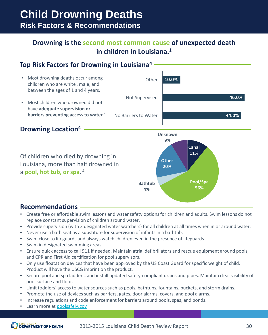### **Child Drowning Deaths Risk Factors & Recommendations**

### **Drowning is the second most common cause of unexpected death in children in Louisiana.1**

### **Top Risk Factors for Drowning in Louisiana4**



### **Drowning Location4**

Of children who died by drowning in Louisiana, more than half drowned in a **pool, hot tub, or spa**. <sup>4</sup>



**Unknown 9%**

> **Canal 11%**

> > **Pool/Spa 56%**

- Create free or affordable swim lessons and water safety options for children and adults. Swim lessons do not replace constant supervision of children around water.
- Provide supervision (with 2 designated water watchers) for all children at all times when in or around water.
- Never use a bath seat as a substitute for supervision of infants in a bathtub.
- Swim close to lifeguards and always watch children even in the presence of lifeguards.
- Swim in designated swimming areas.
- Ensure quick access to call 911 if needed. Maintain atrial defibrillators and rescue equipment around pools, and CPR and First Aid certification for pool supervisors.
- Only use floatation devices that have been approved by the US Coast Guard for specific weight of child. Product will have the USCG imprint on the product.
- Secure pool and spa ladders, and install updated safety-compliant drains and pipes. Maintain clear visibility of pool surface and floor.
- Limit toddlers' access to water sources such as pools, bathtubs, fountains, buckets, and storm drains.
- Promote the use of devices such as barriers, gates, door alarms, covers, and pool alarms.
- Increase regulations and code enforcement for barriers around pools, spas, and ponds.
- Learn more at [poolsafely.gov](https://www.poolsafely.gov/)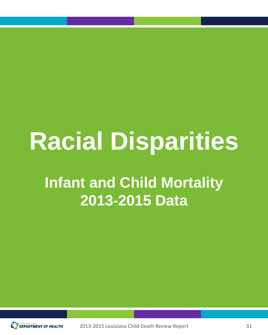# **Racial Disparities**

# **Infant and Child Mortality 2013-2015 Data**

2013-2015 Louisiana Child Death Review Report **DEPARTMENT OF HEALTH**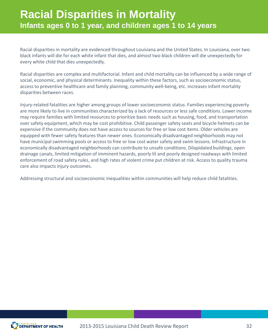Racial disparities in mortality are evidenced throughout Louisiana and the United States. In Louisiana, over two black infants will die for each white infant that dies, and almost two black children will die unexpectedly for every white child that dies unexpectedly.

Racial disparities are complex and multifactorial. Infant and child mortality can be influenced by a wide range of social, economic, and physical determinants. Inequality within these factors, such as socioeconomic status, access to preventive healthcare and family planning, community well-being, etc. increases infant mortality disparities between races.

Injury-related fatalities are higher among groups of lower socioeconomic status. Families experiencing poverty are more likely to live in communities characterized by a lack of resources or less safe conditions. Lower income may require families with limited resources to prioritize basic needs such as housing, food, and transportation over safety equipment, which may be cost prohibitive. Child passenger safety seats and bicycle helmets can be expensive if the community does not have access to sources for free or low cost items. Older vehicles are equipped with fewer safety features than newer ones. Economically disadvantaged neighborhoods may not have municipal swimming pools or access to free or low cost water safety and swim lessons. Infrastructure in economically disadvantaged neighborhoods can contribute to unsafe conditions. Dilapidated buildings, open drainage canals, limited mitigation of imminent hazards, poorly lit and poorly designed roadways with limited enforcement of road safety rules, and high rates of violent crime put children at risk. Access to quality trauma care also impacts injury outcomes.

Addressing structural and socioeconomic inequalities within communities will help reduce child fatalities.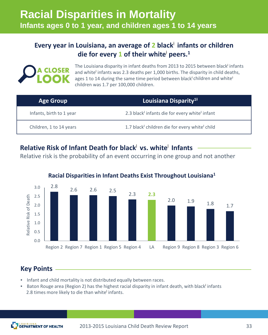### **Every year in Louisiana, an average of 2 black**<sup>ƚ</sup> **infants or children**  die for every 1 of their white<sup>†</sup> peers.<sup>1</sup>



The Louisiana disparity in infant deaths from 2013 to 2015 between black infants and white<sup>t</sup> infants was 2.3 deaths per 1,000 births. The disparity in child deaths, ages 1 to 14 during the same time period between black<sup>†</sup> children and white<sup>†</sup> children was 1.7 per 100,000 children.

| <b>Age Group</b>         | Louisiana Disparity <sup>1+</sup>                                      |
|--------------------------|------------------------------------------------------------------------|
| Infants, birth to 1 year | 2.3 black <sup>†</sup> infants die for every white <sup>†</sup> infant |
| Children, 1 to 14 years  | 1.7 black <sup>†</sup> children die for every white <sup>†</sup> child |

### **Relative Risk of Infant Death for black**<sup>ƚ</sup> **vs. white**<sup>ƚ</sup> **Infants**

Relative risk is the probability of an event occurring in one group and not another



### **Racial Disparities in Infant Deaths Exist Throughout Louisiana1**

### **Key Points**

- Infant and child mortality is not distributed equally between races.
- Baton Rouge area (Region 2) has the highest racial disparity in infant death, with black infants 2.8 times more likely to die than white<sup>t</sup> infants.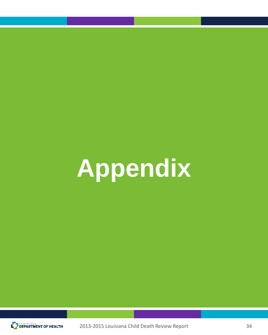# **Appendix**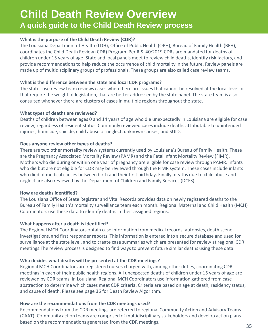### **Child Death Review Overview A quick guide to the Child Death Review process**

#### **What is the purpose of the Child Death Review (CDR)?**

The Louisiana Department of Health (LDH), Office of Public Health (OPH), Bureau of Family Health (BFH), coordinates the Child Death Review (CDR) Program. Per R.S. 40:2019 CDRs are mandated for deaths of children under 15 years of age. State and local panels meet to review child deaths, identify risk factors, and provide recommendations to help reduce the occurrence of child mortality in the future. Review panels are made up of multidisciplinary groups of professionals. These groups are also called case review teams.

#### **What is the difference between the state and local CDR programs?**

The state case review team reviews cases when there are issues that cannot be resolved at the local level or that require the weight of legislation, that are better addressed by the state panel. The state team is also consulted whenever there are clusters of cases in multiple regions throughout the state.

#### **What types of deaths are reviewed?**

Deaths of children between ages 0 and 14 years of age who die unexpectedly in Louisiana are eligible for case review, regardless of resident status. Commonly reviewed cases include deaths attributable to unintended injuries, homicide, suicide, child abuse or neglect, unknown causes, and SUID.

#### **Does anyone review other types of deaths?**

There are two other mortality review systems currently used by Louisiana's Bureau of Family Health. These are the Pregnancy Associated Mortality Review (PAMR) and the Fetal Infant Mortality Review (FIMR). Mothers who die during or within one year of pregnancy are eligible for case review through PAMR. Infants who die but are not eligible for CDR may be reviewed through the FIMR system. These cases include infants who died of medical causes between birth and their first birthday. Finally, deaths due to child abuse and neglect are also reviewed by the Department of Children and Family Services (DCFS).

#### **How are deaths identified?**

The Louisiana Office of State Registrar and Vital Records provides data on newly registered deaths to the Bureau of Family Health's mortality surveillance team each month. Regional Maternal and Child Health (MCH) Coordinators use these data to identify deaths in their assigned regions.

#### **What happens after a death is identified?**

The Regional MCH Coordinators obtain case information from medical records, autopsies, death scene investigations, and first responder reports. This information is entered into a secure database and used for surveillance at the state level, and to create case summaries which are presented for review at regional CDR meetings.The review process is designed to find ways to prevent future similar deaths using these data.

#### **Who decides what deaths will be presented at the CDR meetings?**

Regional MCH Coordinators are registered nurses charged with, among other duties, coordinating CDR meetings in each of their public health regions. All unexpected deaths of children under 15 years of age are reviewed by CDR teams. In Louisiana, Regional MCH Coordinators use information gathered from case abstraction to determine which cases meet CDR criteria. Criteria are based on age at death, residency status, and cause of death. Please see page 36 for Death Review Algorithm.

#### **How are the recommendations from the CDR meetings used?**

Recommendations from the CDR meetings are referred to regional Community Action and Advisory Teams (CAAT). Community action teams are comprised of multidisciplinary stakeholders and develop action plans based on the recommendations generated from the CDR meetings. 35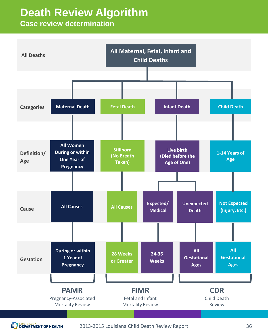## **Death Review Algorithm**

### **Case review determination**

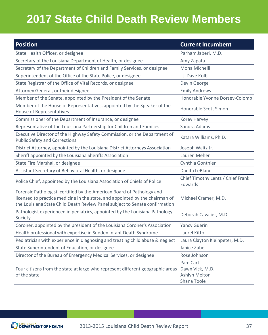# **2017 State Child Death Review Members**

| <b>Position</b>                                                                                                                                                                                                                       | <b>Current Incumbent</b>                                    |
|---------------------------------------------------------------------------------------------------------------------------------------------------------------------------------------------------------------------------------------|-------------------------------------------------------------|
| State Health Officer, or designee                                                                                                                                                                                                     | Parham Jaberi, M.D.                                         |
| Secretary of the Louisiana Department of Health, or designee                                                                                                                                                                          | Amy Zapata                                                  |
| Secretary of the Department of Children and Family Services, or designee                                                                                                                                                              | Mona Michelli                                               |
| Superintendent of the Office of the State Police, or designee                                                                                                                                                                         | Lt. Dave Kolb                                               |
| State Registrar of the Office of Vital Records, or designee                                                                                                                                                                           | Devin George                                                |
| Attorney General, or their designee                                                                                                                                                                                                   | <b>Emily Andrews</b>                                        |
| Member of the Senate, appointed by the President of the Senate                                                                                                                                                                        | Honorable Yvonne Dorsey-Colomb                              |
| Member of the House of Representatives, appointed by the Speaker of the<br><b>House of Representatives</b>                                                                                                                            | Honorable Scott Simon                                       |
| Commissioner of the Department of Insurance, or designee                                                                                                                                                                              | Korey Harvey                                                |
| Representative of the Louisiana Partnership for Children and Families                                                                                                                                                                 | Sandra Adams                                                |
| Executive Director of the Highway Safety Commission, or the Department of<br><b>Public Safety and Corrections</b>                                                                                                                     | Katara Williams, Ph.D.                                      |
| District Attorney, appointed by the Louisiana District Attorneys Association                                                                                                                                                          | Joseph Waitz Jr.                                            |
| Sheriff appointed by the Louisiana Sheriffs Association                                                                                                                                                                               | Lauren Meher                                                |
| State Fire Marshal, or designee                                                                                                                                                                                                       | Cynthia Gonthier                                            |
| Assistant Secretary of Behavioral Health, or designee                                                                                                                                                                                 | Danita LeBlanc                                              |
| Police Chief, appointed by the Louisiana Association of Chiefs of Police                                                                                                                                                              | Chief Timothy Lentz / Chief Frank<br>Edwards                |
| Forensic Pathologist, certified by the American Board of Pathology and<br>licensed to practice medicine in the state, and appointed by the chairman of<br>the Louisiana State Child Death Review Panel subject to Senate confirmation | Michael Cramer, M.D.                                        |
| Pathologist experienced in pediatrics, appointed by the Louisiana Pathology<br>Society                                                                                                                                                | Deborah Cavalier, M.D.                                      |
| Coroner, appointed by the president of the Louisiana Coroner's Association                                                                                                                                                            | <b>Yancy Guerin</b>                                         |
| Health professional with expertise in Sudden Infant Death Syndrome                                                                                                                                                                    | Laurel Kitto                                                |
| Pediatrician with experience in diagnosing and treating child abuse & neglect                                                                                                                                                         | Laura Clayton Kleinpeter, M.D.                              |
| State Superintendent of Education, or designee                                                                                                                                                                                        | Janice Zube                                                 |
| Director of the Bureau of Emergency Medical Services, or designee                                                                                                                                                                     | Rose Johnson                                                |
| Four citizens from the state at large who represent different geographic areas<br>of the state                                                                                                                                        | Pam Cart<br>Dawn Vick, M.D.<br>Ashlyn Melton<br>Shana Toole |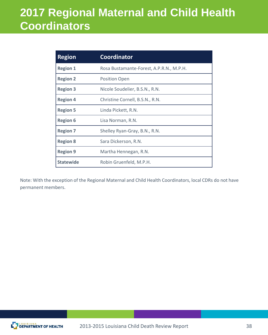# **2017 Regional Maternal and Child Health Coordinators**

| <b>Region</b>    | <b>Coordinator</b>                       |
|------------------|------------------------------------------|
| <b>Region 1</b>  | Rosa Bustamante-Forest, A.P.R.N., M.P.H. |
| <b>Region 2</b>  | <b>Position Open</b>                     |
| <b>Region 3</b>  | Nicole Soudelier, B.S.N., R.N.           |
| <b>Region 4</b>  | Christine Cornell, B.S.N., R.N.          |
| <b>Region 5</b>  | Linda Pickett, R.N.                      |
| <b>Region 6</b>  | Lisa Norman, R.N.                        |
| <b>Region 7</b>  | Shelley Ryan-Gray, B.N., R.N.            |
| <b>Region 8</b>  | Sara Dickerson, R.N.                     |
| <b>Region 9</b>  | Martha Hennegan, R.N.                    |
| <b>Statewide</b> | Robin Gruenfeld, M.P.H.                  |

Note: With the exception of the Regional Maternal and Child Health Coordinators, local CDRs do not have permanent members.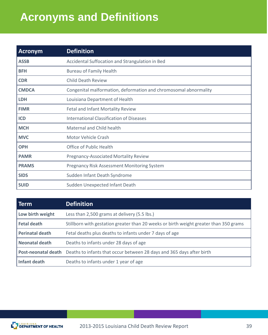# **Acronyms and Definitions**

| <b>Acronym</b> | <b>Definition</b>                                                |
|----------------|------------------------------------------------------------------|
| <b>ASSB</b>    | Accidental Suffocation and Strangulation in Bed                  |
| <b>BFH</b>     | <b>Bureau of Family Health</b>                                   |
| <b>CDR</b>     | <b>Child Death Review</b>                                        |
| <b>CMDCA</b>   | Congenital malformation, deformation and chromosomal abnormality |
| <b>LDH</b>     | Louisiana Department of Health                                   |
| <b>FIMR</b>    | Fetal and Infant Mortality Review                                |
| <b>ICD</b>     | <b>International Classification of Diseases</b>                  |
| <b>MCH</b>     | Maternal and Child health                                        |
| <b>MVC</b>     | Motor Vehicle Crash                                              |
| <b>OPH</b>     | <b>Office of Public Health</b>                                   |
| <b>PAMR</b>    | <b>Pregnancy-Associated Mortality Review</b>                     |
| <b>PRAMS</b>   | <b>Pregnancy Risk Assessment Monitoring System</b>               |
| <b>SIDS</b>    | Sudden Infant Death Syndrome                                     |
| <b>SUID</b>    | Sudden Unexpected Infant Death                                   |

| Term                       | <b>Definition</b>                                                                     |
|----------------------------|---------------------------------------------------------------------------------------|
| Low birth weight           | Less than 2,500 grams at delivery (5.5 lbs.)                                          |
| <b>Fetal death</b>         | Stillborn with gestation greater than 20 weeks or birth weight greater than 350 grams |
| <b>Perinatal death</b>     | Fetal deaths plus deaths to infants under 7 days of age                               |
| <b>Neonatal death</b>      | Deaths to infants under 28 days of age                                                |
| <b>Post-neonatal death</b> | Deaths to infants that occur between 28 days and 365 days after birth                 |
| Infant death               | Deaths to infants under 1 year of age                                                 |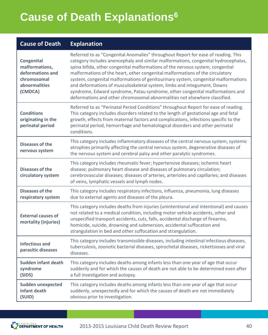# **Cause of Death Explanations6**

### **Cause of Death Explanation**

| <b>Congenital</b><br>malformations,<br>deformations and<br>chromosomal<br>abnormalities<br>(CMDCA) | Referred to as "Congenital Anomalies" throughout Report for ease of reading. This<br>category includes anencephaly and similar malformations, congenital hydrocephalus,<br>spina bifida, other congenital malformations of the nervous system, congenital<br>malformations of the heart, other congenital malformations of the circulatory<br>system, congenital malformations of genitourinary system, congenital malformations<br>and deformations of musculoskeletal system, limbs and integument, Downs<br>syndrome, Edward syndrome, Patau syndrome, other congenital malformations and<br>deformations and other chromosomal abnormalities not elsewhere classified. |
|----------------------------------------------------------------------------------------------------|----------------------------------------------------------------------------------------------------------------------------------------------------------------------------------------------------------------------------------------------------------------------------------------------------------------------------------------------------------------------------------------------------------------------------------------------------------------------------------------------------------------------------------------------------------------------------------------------------------------------------------------------------------------------------|
| <b>Conditions</b><br>originating in the<br>perinatal period                                        | Referred to as "Perinatal Period Conditions" throughout Report for ease of reading.<br>This category includes disorders related to the length of gestational age and fetal<br>growth, effects from maternal factors and complications, infections specific to the<br>perinatal period, hemorrhage and hematological disorders and other perinatal<br>conditions.                                                                                                                                                                                                                                                                                                           |
| Diseases of the<br>nervous system                                                                  | This category includes inflammatory diseases of the central nervous system, systemic<br>atrophies primarily affecting the central nervous system, degenerative diseases of<br>the nervous system and cerebral palsy and other paralytic syndromes.                                                                                                                                                                                                                                                                                                                                                                                                                         |
| <b>Diseases of the</b><br>circulatory system                                                       | This category includes rheumatic fever; hypertensive diseases; ischemic heart<br>disease; pulmonary heart disease and diseases of pulmonary circulation;<br>cerebrovascular diseases; diseases of arteries, arterioles and capillaries; and diseases<br>of veins, lymphatic vessels and lymph nodes.                                                                                                                                                                                                                                                                                                                                                                       |
| <b>Diseases of the</b><br>respiratory system                                                       | This category includes respiratory infections, influenza, pneumonia, lung diseases<br>due to external agents and diseases of the pleura.                                                                                                                                                                                                                                                                                                                                                                                                                                                                                                                                   |
| <b>External causes of</b><br>mortality (injuries)                                                  | This category includes deaths from injuries (unintentional and intentional) and causes<br>not related to a medical condition, including motor vehicle accidents, other and<br>unspecified transport accidents, cuts, falls, accidental discharge of firearms,<br>homicide, suicide, drowning and submersion, accidental suffocation and<br>strangulation in bed and other suffocation and strangulation.                                                                                                                                                                                                                                                                   |
| <b>Infectious and</b><br>parasitic diseases                                                        | This category includes transmissible diseases, including intestinal infectious diseases,<br>tuberculosis, zoonotic bacterial diseases, spirochetal diseases, rickettsioses and viral<br>diseases.                                                                                                                                                                                                                                                                                                                                                                                                                                                                          |
| <b>Sudden infant death</b><br>syndrome<br>(SIDS)                                                   | This category includes deaths among infants less than one year of age that occur<br>suddenly and for which the causes of death are not able to be determined even after<br>a full investigation and autopsy.                                                                                                                                                                                                                                                                                                                                                                                                                                                               |
| <b>Sudden unexpected</b><br>infant death<br>(SUID)                                                 | This category includes deaths among infants less than one year of age that occur<br>suddenly, unexpectedly and for which the causes of death are not immediately<br>obvious prior to investigation.                                                                                                                                                                                                                                                                                                                                                                                                                                                                        |